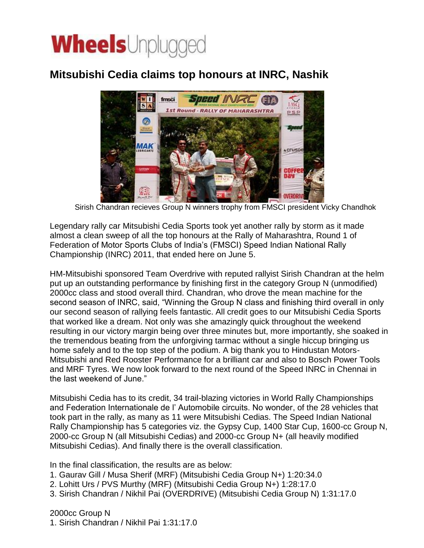## **Wheels**Unplugged

## **Mitsubishi Cedia claims top honours at INRC, Nashik**



Sirish Chandran recieves Group N winners trophy from FMSCI president Vicky Chandhok

Legendary rally car Mitsubishi Cedia Sports took yet another rally by storm as it made almost a clean sweep of all the top honours at the Rally of Maharashtra, Round 1 of Federation of Motor Sports Clubs of India's (FMSCI) Speed Indian National Rally Championship (INRC) 2011, that ended here on June 5.

HM-Mitsubishi sponsored Team Overdrive with reputed rallyist Sirish Chandran at the helm put up an outstanding performance by finishing first in the category Group N (unmodified) 2000cc class and stood overall third. Chandran, who drove the mean machine for the second season of INRC, said, "Winning the Group N class and finishing third overall in only our second season of rallying feels fantastic. All credit goes to our Mitsubishi Cedia Sports that worked like a dream. Not only was she amazingly quick throughout the weekend resulting in our victory margin being over three minutes but, more importantly, she soaked in the tremendous beating from the unforgiving tarmac without a single hiccup bringing us home safely and to the top step of the podium. A big thank you to Hindustan Motors-Mitsubishi and Red Rooster Performance for a brilliant car and also to Bosch Power Tools and MRF Tyres. We now look forward to the next round of the Speed INRC in Chennai in the last weekend of June."

Mitsubishi Cedia has to its credit, 34 trail-blazing victories in World Rally Championships and Federation Internationale de l' Automobile circuits. No wonder, of the 28 vehicles that took part in the rally, as many as 11 were Mitsubishi Cedias. The Speed Indian National Rally Championship has 5 categories viz. the Gypsy Cup, 1400 Star Cup, 1600-cc Group N, 2000-cc Group N (all Mitsubishi Cedias) and 2000-cc Group N+ (all heavily modified Mitsubishi Cedias). And finally there is the overall classification.

In the final classification, the results are as below:

- 1. Gaurav Gill / Musa Sherif (MRF) (Mitsubishi Cedia Group N+) 1:20:34.0
- 2. Lohitt Urs / PVS Murthy (MRF) (Mitsubishi Cedia Group N+) 1:28:17.0
- 3. Sirish Chandran / Nikhil Pai (OVERDRIVE) (Mitsubishi Cedia Group N) 1:31:17.0

2000cc Group N

1. Sirish Chandran / Nikhil Pai 1:31:17.0